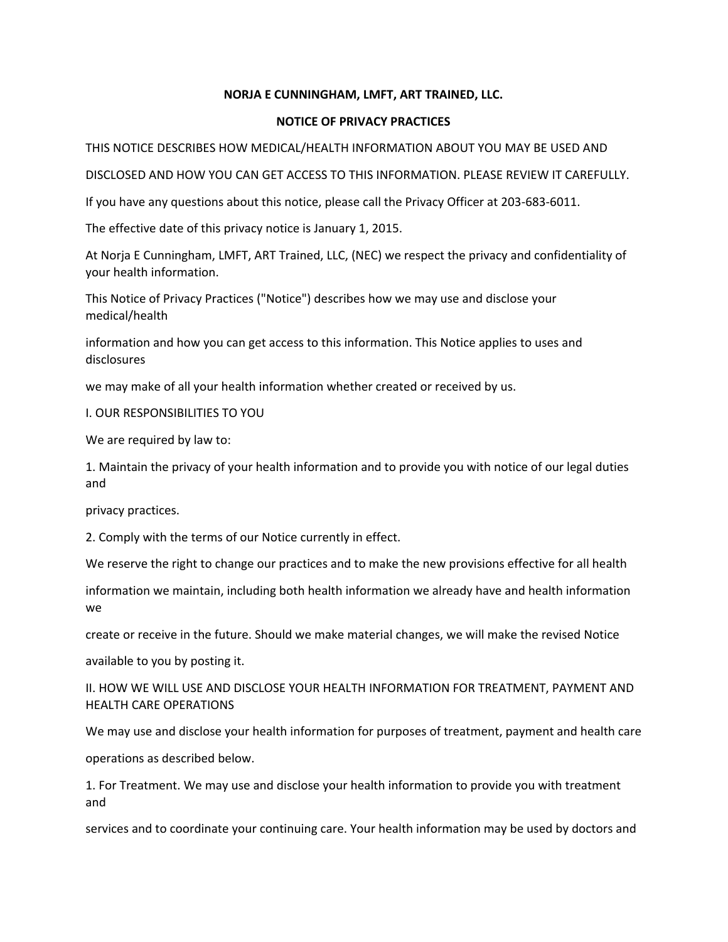### **NORJA E CUNNINGHAM, LMFT, ART TRAINED, LLC.**

### **NOTICE OF PRIVACY PRACTICES**

THIS NOTICE DESCRIBES HOW MEDICAL/HEALTH INFORMATION ABOUT YOU MAY BE USED AND

DISCLOSED AND HOW YOU CAN GET ACCESS TO THIS INFORMATION. PLEASE REVIEW IT CAREFULLY.

If you have any questions about this notice, please call the Privacy Officer at 203-683-6011.

The effective date of this privacy notice is January 1, 2015.

At Norja E Cunningham, LMFT, ART Trained, LLC, (NEC) we respect the privacy and confidentiality of your health information.

This Notice of Privacy Practices ("Notice") describes how we may use and disclose your medical/health

information and how you can get access to this information. This Notice applies to uses and disclosures

we may make of all your health information whether created or received by us.

I. OUR RESPONSIBILITIES TO YOU

We are required by law to:

1. Maintain the privacy of your health information and to provide you with notice of our legal duties and

privacy practices.

2. Comply with the terms of our Notice currently in effect.

We reserve the right to change our practices and to make the new provisions effective for all health

information we maintain, including both health information we already have and health information we

create or receive in the future. Should we make material changes, we will make the revised Notice

available to you by posting it.

II. HOW WE WILL USE AND DISCLOSE YOUR HEALTH INFORMATION FOR TREATMENT, PAYMENT AND HEALTH CARE OPERATIONS

We may use and disclose your health information for purposes of treatment, payment and health care operations as described below.

1. For Treatment. We may use and disclose your health information to provide you with treatment and

services and to coordinate your continuing care. Your health information may be used by doctors and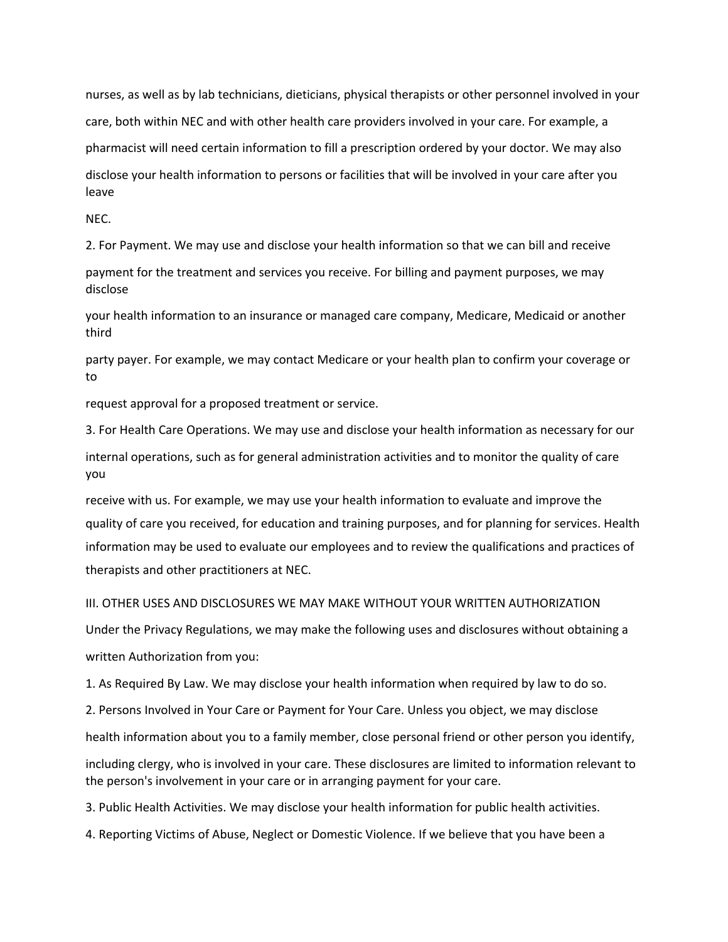nurses, as well as by lab technicians, dieticians, physical therapists or other personnel involved in your care, both within NEC and with other health care providers involved in your care. For example, a pharmacist will need certain information to fill a prescription ordered by your doctor. We may also disclose your health information to persons or facilities that will be involved in your care after you leave

NEC.

2. For Payment. We may use and disclose your health information so that we can bill and receive

payment for the treatment and services you receive. For billing and payment purposes, we may disclose

your health information to an insurance or managed care company, Medicare, Medicaid or another third

party payer. For example, we may contact Medicare or your health plan to confirm your coverage or to

request approval for a proposed treatment or service.

3. For Health Care Operations. We may use and disclose your health information as necessary for our

internal operations, such as for general administration activities and to monitor the quality of care you

receive with us. For example, we may use your health information to evaluate and improve the quality of care you received, for education and training purposes, and for planning for services. Health information may be used to evaluate our employees and to review the qualifications and practices of therapists and other practitioners at NEC.

III. OTHER USES AND DISCLOSURES WE MAY MAKE WITHOUT YOUR WRITTEN AUTHORIZATION

Under the Privacy Regulations, we may make the following uses and disclosures without obtaining a written Authorization from you:

1. As Required By Law. We may disclose your health information when required by law to do so.

2. Persons Involved in Your Care or Payment for Your Care. Unless you object, we may disclose

health information about you to a family member, close personal friend or other person you identify,

including clergy, who is involved in your care. These disclosures are limited to information relevant to the person's involvement in your care or in arranging payment for your care.

3. Public Health Activities. We may disclose your health information for public health activities.

4. Reporting Victims of Abuse, Neglect or Domestic Violence. If we believe that you have been a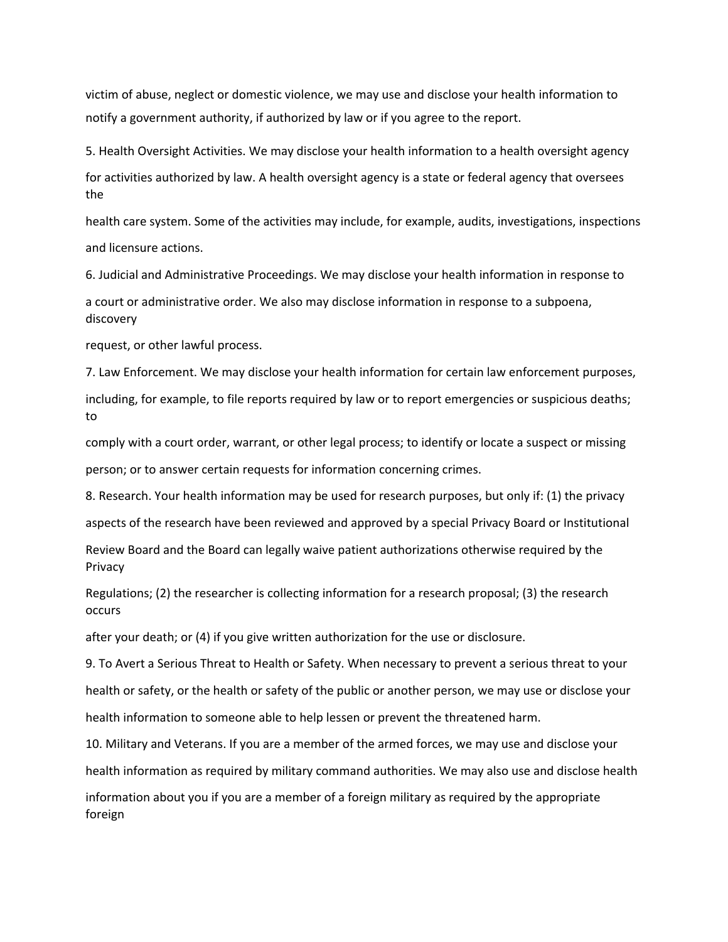victim of abuse, neglect or domestic violence, we may use and disclose your health information to notify a government authority, if authorized by law or if you agree to the report.

5. Health Oversight Activities. We may disclose your health information to a health oversight agency for activities authorized by law. A health oversight agency is a state or federal agency that oversees the

health care system. Some of the activities may include, for example, audits, investigations, inspections and licensure actions.

6. Judicial and Administrative Proceedings. We may disclose your health information in response to

a court or administrative order. We also may disclose information in response to a subpoena, discovery

request, or other lawful process.

7. Law Enforcement. We may disclose your health information for certain law enforcement purposes, including, for example, to file reports required by law or to report emergencies or suspicious deaths; to

comply with a court order, warrant, or other legal process; to identify or locate a suspect or missing person; or to answer certain requests for information concerning crimes.

8. Research. Your health information may be used for research purposes, but only if: (1) the privacy aspects of the research have been reviewed and approved by a special Privacy Board or Institutional

Review Board and the Board can legally waive patient authorizations otherwise required by the Privacy

Regulations; (2) the researcher is collecting information for a research proposal; (3) the research occurs

after your death; or (4) if you give written authorization for the use or disclosure.

9. To Avert a Serious Threat to Health or Safety. When necessary to prevent a serious threat to your health or safety, or the health or safety of the public or another person, we may use or disclose your health information to someone able to help lessen or prevent the threatened harm.

10. Military and Veterans. If you are a member of the armed forces, we may use and disclose your health information as required by military command authorities. We may also use and disclose health information about you if you are a member of a foreign military as required by the appropriate foreign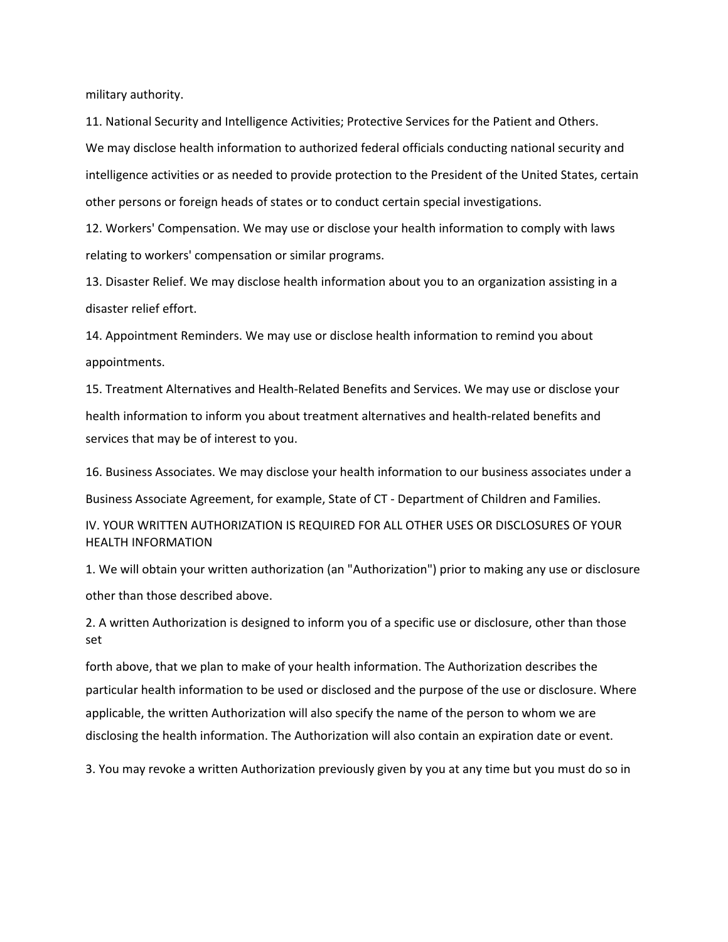military authority.

11. National Security and Intelligence Activities; Protective Services for the Patient and Others. We may disclose health information to authorized federal officials conducting national security and intelligence activities or as needed to provide protection to the President of the United States, certain other persons or foreign heads of states or to conduct certain special investigations.

12. Workers' Compensation. We may use or disclose your health information to comply with laws relating to workers' compensation or similar programs.

13. Disaster Relief. We may disclose health information about you to an organization assisting in a disaster relief effort.

14. Appointment Reminders. We may use or disclose health information to remind you about appointments.

15. Treatment Alternatives and Health-Related Benefits and Services. We may use or disclose your health information to inform you about treatment alternatives and health-related benefits and services that may be of interest to you.

16. Business Associates. We may disclose your health information to our business associates under a Business Associate Agreement, for example, State of CT - Department of Children and Families.

IV. YOUR WRITTEN AUTHORIZATION IS REQUIRED FOR ALL OTHER USES OR DISCLOSURES OF YOUR HEALTH INFORMATION

1. We will obtain your written authorization (an "Authorization") prior to making any use or disclosure other than those described above.

2. A written Authorization is designed to inform you of a specific use or disclosure, other than those set

forth above, that we plan to make of your health information. The Authorization describes the particular health information to be used or disclosed and the purpose of the use or disclosure. Where applicable, the written Authorization will also specify the name of the person to whom we are disclosing the health information. The Authorization will also contain an expiration date or event.

3. You may revoke a written Authorization previously given by you at any time but you must do so in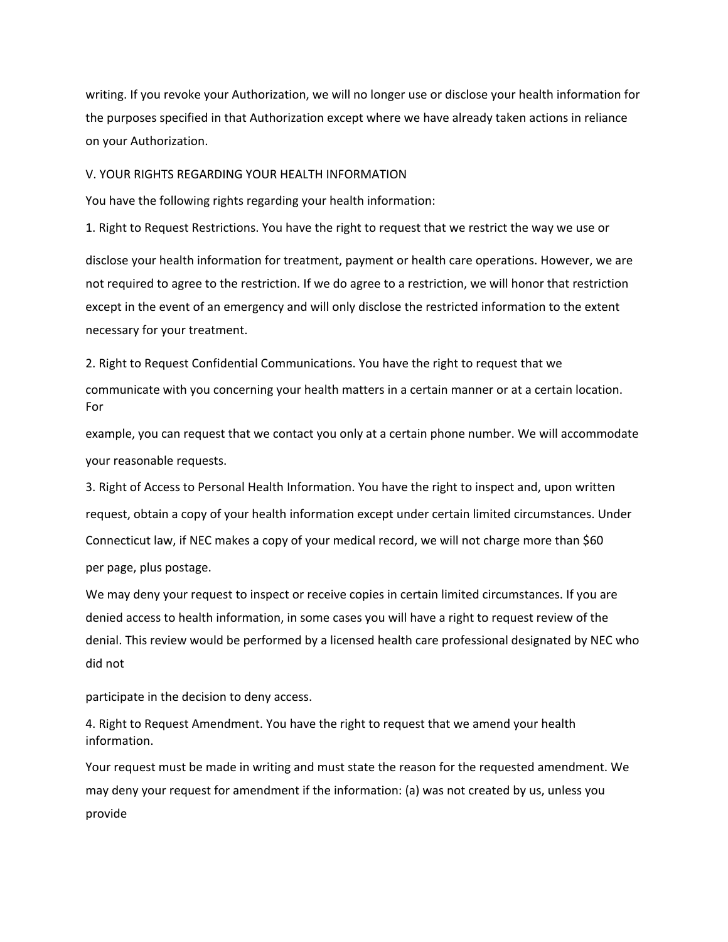writing. If you revoke your Authorization, we will no longer use or disclose your health information for the purposes specified in that Authorization except where we have already taken actions in reliance on your Authorization.

V. YOUR RIGHTS REGARDING YOUR HEALTH INFORMATION

You have the following rights regarding your health information:

1. Right to Request Restrictions. You have the right to request that we restrict the way we use or

disclose your health information for treatment, payment or health care operations. However, we are not required to agree to the restriction. If we do agree to a restriction, we will honor that restriction except in the event of an emergency and will only disclose the restricted information to the extent necessary for your treatment.

2. Right to Request Confidential Communications. You have the right to request that we communicate with you concerning your health matters in a certain manner or at a certain location. For

example, you can request that we contact you only at a certain phone number. We will accommodate your reasonable requests.

3. Right of Access to Personal Health Information. You have the right to inspect and, upon written request, obtain a copy of your health information except under certain limited circumstances. Under Connecticut law, if NEC makes a copy of your medical record, we will not charge more than \$60 per page, plus postage.

We may deny your request to inspect or receive copies in certain limited circumstances. If you are denied access to health information, in some cases you will have a right to request review of the denial. This review would be performed by a licensed health care professional designated by NEC who did not

participate in the decision to deny access.

4. Right to Request Amendment. You have the right to request that we amend your health information.

Your request must be made in writing and must state the reason for the requested amendment. We may deny your request for amendment if the information: (a) was not created by us, unless you provide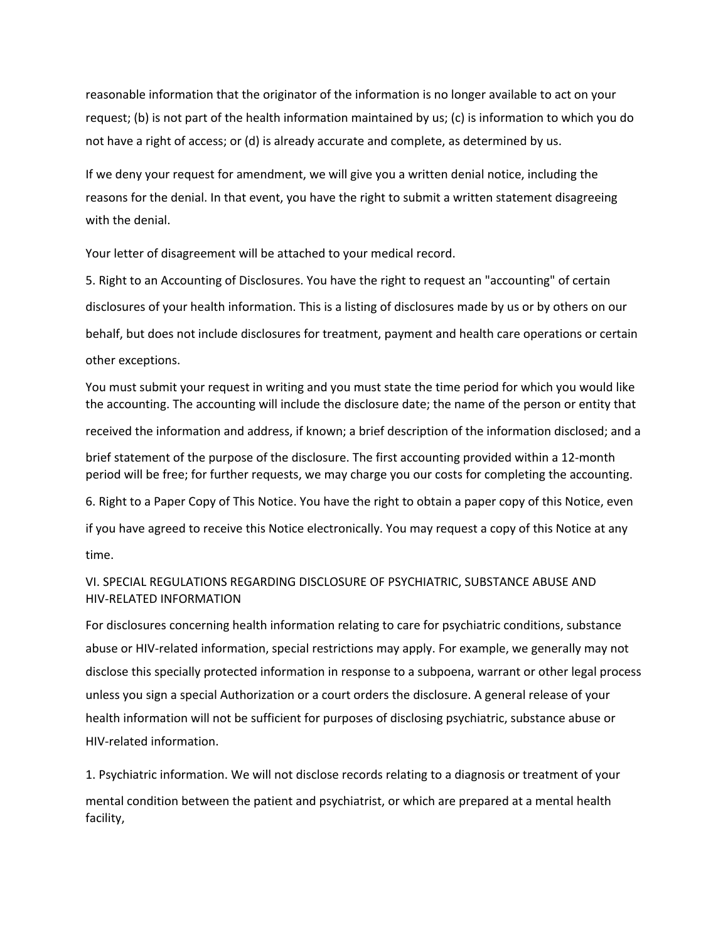reasonable information that the originator of the information is no longer available to act on your request; (b) is not part of the health information maintained by us; (c) is information to which you do not have a right of access; or (d) is already accurate and complete, as determined by us.

If we deny your request for amendment, we will give you a written denial notice, including the reasons for the denial. In that event, you have the right to submit a written statement disagreeing with the denial.

Your letter of disagreement will be attached to your medical record.

5. Right to an Accounting of Disclosures. You have the right to request an "accounting" of certain disclosures of your health information. This is a listing of disclosures made by us or by others on our behalf, but does not include disclosures for treatment, payment and health care operations or certain other exceptions.

You must submit your request in writing and you must state the time period for which you would like the accounting. The accounting will include the disclosure date; the name of the person or entity that received the information and address, if known; a brief description of the information disclosed; and a brief statement of the purpose of the disclosure. The first accounting provided within a 12-month period will be free; for further requests, we may charge you our costs for completing the accounting. 6. Right to a Paper Copy of This Notice. You have the right to obtain a paper copy of this Notice, even if you have agreed to receive this Notice electronically. You may request a copy of this Notice at any time.

# VI. SPECIAL REGULATIONS REGARDING DISCLOSURE OF PSYCHIATRIC, SUBSTANCE ABUSE AND HIV-RELATED INFORMATION

For disclosures concerning health information relating to care for psychiatric conditions, substance abuse or HIV-related information, special restrictions may apply. For example, we generally may not disclose this specially protected information in response to a subpoena, warrant or other legal process unless you sign a special Authorization or a court orders the disclosure. A general release of your health information will not be sufficient for purposes of disclosing psychiatric, substance abuse or HIV-related information.

1. Psychiatric information. We will not disclose records relating to a diagnosis or treatment of your mental condition between the patient and psychiatrist, or which are prepared at a mental health facility,